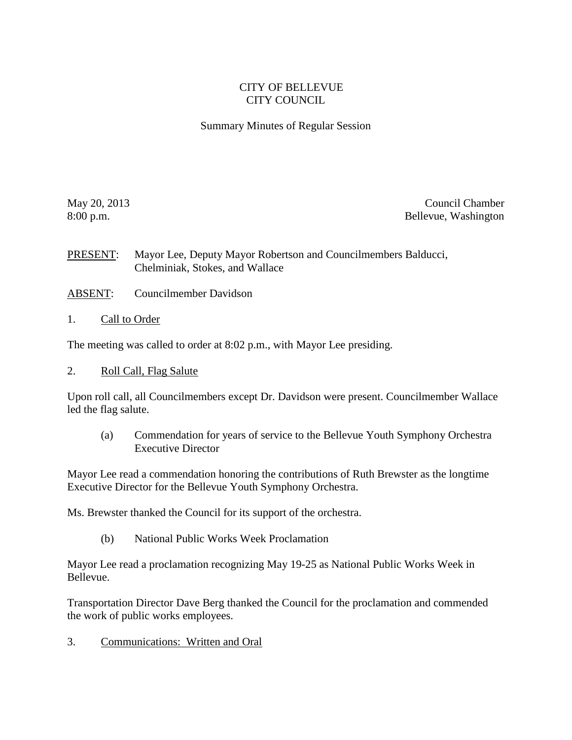## CITY OF BELLEVUE CITY COUNCIL

Summary Minutes of Regular Session

May 20, 2013 Council Chamber 8:00 p.m. Bellevue, Washington

PRESENT: Mayor Lee, Deputy Mayor Robertson and Councilmembers Balducci, Chelminiak, Stokes, and Wallace

- ABSENT: Councilmember Davidson
- 1. Call to Order

The meeting was called to order at 8:02 p.m., with Mayor Lee presiding.

2. Roll Call, Flag Salute

Upon roll call, all Councilmembers except Dr. Davidson were present. Councilmember Wallace led the flag salute.

(a) Commendation for years of service to the Bellevue Youth Symphony Orchestra Executive Director

Mayor Lee read a commendation honoring the contributions of Ruth Brewster as the longtime Executive Director for the Bellevue Youth Symphony Orchestra.

Ms. Brewster thanked the Council for its support of the orchestra.

(b) National Public Works Week Proclamation

Mayor Lee read a proclamation recognizing May 19-25 as National Public Works Week in Bellevue.

Transportation Director Dave Berg thanked the Council for the proclamation and commended the work of public works employees.

3. Communications: Written and Oral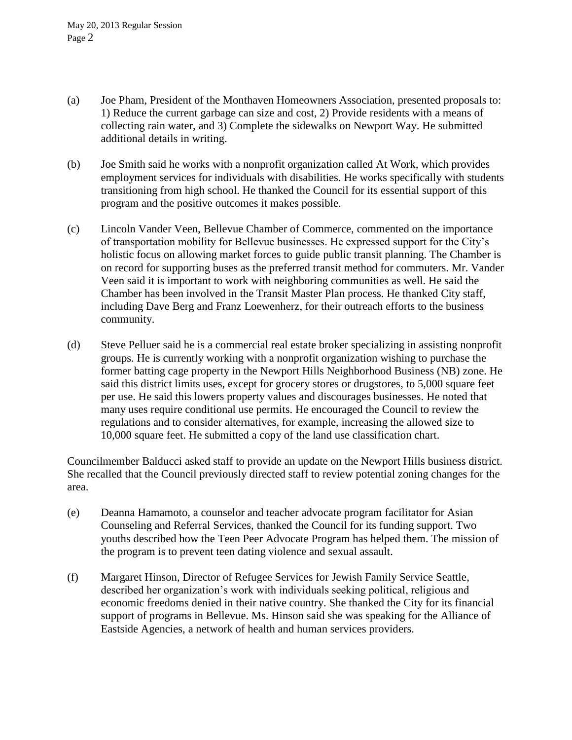- (a) Joe Pham, President of the Monthaven Homeowners Association, presented proposals to: 1) Reduce the current garbage can size and cost, 2) Provide residents with a means of collecting rain water, and 3) Complete the sidewalks on Newport Way. He submitted additional details in writing.
- (b) Joe Smith said he works with a nonprofit organization called At Work, which provides employment services for individuals with disabilities. He works specifically with students transitioning from high school. He thanked the Council for its essential support of this program and the positive outcomes it makes possible.
- (c) Lincoln Vander Veen, Bellevue Chamber of Commerce, commented on the importance of transportation mobility for Bellevue businesses. He expressed support for the City's holistic focus on allowing market forces to guide public transit planning. The Chamber is on record for supporting buses as the preferred transit method for commuters. Mr. Vander Veen said it is important to work with neighboring communities as well. He said the Chamber has been involved in the Transit Master Plan process. He thanked City staff, including Dave Berg and Franz Loewenherz, for their outreach efforts to the business community.
- (d) Steve Pelluer said he is a commercial real estate broker specializing in assisting nonprofit groups. He is currently working with a nonprofit organization wishing to purchase the former batting cage property in the Newport Hills Neighborhood Business (NB) zone. He said this district limits uses, except for grocery stores or drugstores, to 5,000 square feet per use. He said this lowers property values and discourages businesses. He noted that many uses require conditional use permits. He encouraged the Council to review the regulations and to consider alternatives, for example, increasing the allowed size to 10,000 square feet. He submitted a copy of the land use classification chart.

Councilmember Balducci asked staff to provide an update on the Newport Hills business district. She recalled that the Council previously directed staff to review potential zoning changes for the area.

- (e) Deanna Hamamoto, a counselor and teacher advocate program facilitator for Asian Counseling and Referral Services, thanked the Council for its funding support. Two youths described how the Teen Peer Advocate Program has helped them. The mission of the program is to prevent teen dating violence and sexual assault.
- (f) Margaret Hinson, Director of Refugee Services for Jewish Family Service Seattle, described her organization's work with individuals seeking political, religious and economic freedoms denied in their native country. She thanked the City for its financial support of programs in Bellevue. Ms. Hinson said she was speaking for the Alliance of Eastside Agencies, a network of health and human services providers.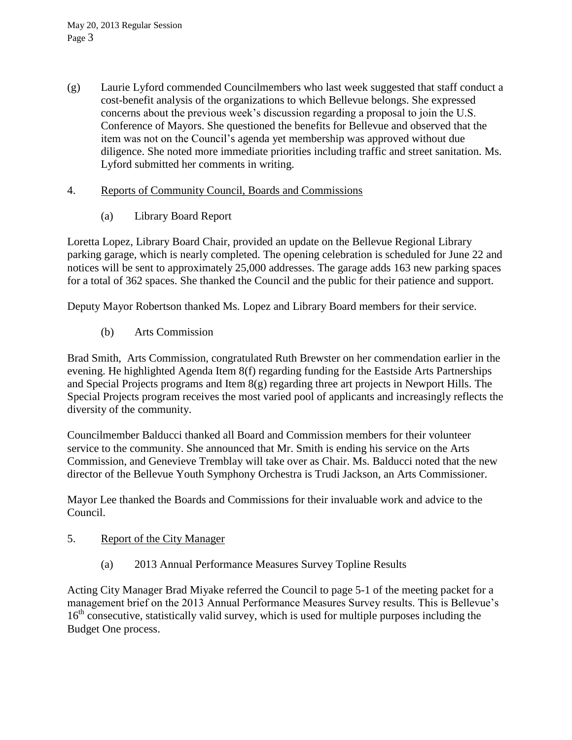(g) Laurie Lyford commended Councilmembers who last week suggested that staff conduct a cost-benefit analysis of the organizations to which Bellevue belongs. She expressed concerns about the previous week's discussion regarding a proposal to join the U.S. Conference of Mayors. She questioned the benefits for Bellevue and observed that the item was not on the Council's agenda yet membership was approved without due diligence. She noted more immediate priorities including traffic and street sanitation. Ms. Lyford submitted her comments in writing.

## 4. Reports of Community Council, Boards and Commissions

(a) Library Board Report

Loretta Lopez, Library Board Chair, provided an update on the Bellevue Regional Library parking garage, which is nearly completed. The opening celebration is scheduled for June 22 and notices will be sent to approximately 25,000 addresses. The garage adds 163 new parking spaces for a total of 362 spaces. She thanked the Council and the public for their patience and support.

Deputy Mayor Robertson thanked Ms. Lopez and Library Board members for their service.

(b) Arts Commission

Brad Smith, Arts Commission, congratulated Ruth Brewster on her commendation earlier in the evening. He highlighted Agenda Item 8(f) regarding funding for the Eastside Arts Partnerships and Special Projects programs and Item 8(g) regarding three art projects in Newport Hills. The Special Projects program receives the most varied pool of applicants and increasingly reflects the diversity of the community.

Councilmember Balducci thanked all Board and Commission members for their volunteer service to the community. She announced that Mr. Smith is ending his service on the Arts Commission, and Genevieve Tremblay will take over as Chair. Ms. Balducci noted that the new director of the Bellevue Youth Symphony Orchestra is Trudi Jackson, an Arts Commissioner.

Mayor Lee thanked the Boards and Commissions for their invaluable work and advice to the Council.

- 5. Report of the City Manager
	- (a) 2013 Annual Performance Measures Survey Topline Results

Acting City Manager Brad Miyake referred the Council to page 5-1 of the meeting packet for a management brief on the 2013 Annual Performance Measures Survey results. This is Bellevue's 16<sup>th</sup> consecutive, statistically valid survey, which is used for multiple purposes including the Budget One process.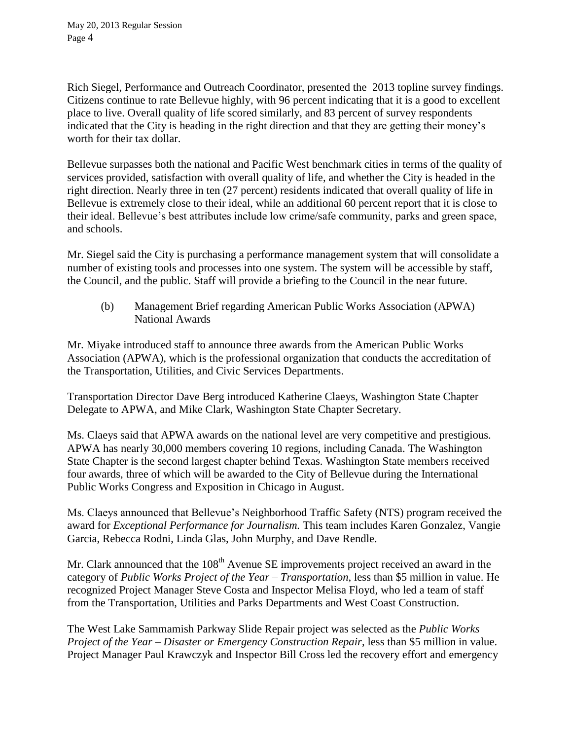Rich Siegel, Performance and Outreach Coordinator, presented the 2013 topline survey findings. Citizens continue to rate Bellevue highly, with 96 percent indicating that it is a good to excellent place to live. Overall quality of life scored similarly, and 83 percent of survey respondents indicated that the City is heading in the right direction and that they are getting their money's worth for their tax dollar.

Bellevue surpasses both the national and Pacific West benchmark cities in terms of the quality of services provided, satisfaction with overall quality of life, and whether the City is headed in the right direction. Nearly three in ten (27 percent) residents indicated that overall quality of life in Bellevue is extremely close to their ideal, while an additional 60 percent report that it is close to their ideal. Bellevue's best attributes include low crime/safe community, parks and green space, and schools.

Mr. Siegel said the City is purchasing a performance management system that will consolidate a number of existing tools and processes into one system. The system will be accessible by staff, the Council, and the public. Staff will provide a briefing to the Council in the near future.

(b) Management Brief regarding American Public Works Association (APWA) National Awards

Mr. Miyake introduced staff to announce three awards from the American Public Works Association (APWA), which is the professional organization that conducts the accreditation of the Transportation, Utilities, and Civic Services Departments.

Transportation Director Dave Berg introduced Katherine Claeys, Washington State Chapter Delegate to APWA, and Mike Clark, Washington State Chapter Secretary.

Ms. Claeys said that APWA awards on the national level are very competitive and prestigious. APWA has nearly 30,000 members covering 10 regions, including Canada. The Washington State Chapter is the second largest chapter behind Texas. Washington State members received four awards, three of which will be awarded to the City of Bellevue during the International Public Works Congress and Exposition in Chicago in August.

Ms. Claeys announced that Bellevue's Neighborhood Traffic Safety (NTS) program received the award for *Exceptional Performance for Journalism.* This team includes Karen Gonzalez, Vangie Garcia, Rebecca Rodni, Linda Glas, John Murphy, and Dave Rendle.

Mr. Clark announced that the  $108<sup>th</sup>$  Avenue SE improvements project received an award in the category of *Public Works Project of the Year – Transportation*, less than \$5 million in value. He recognized Project Manager Steve Costa and Inspector Melisa Floyd, who led a team of staff from the Transportation, Utilities and Parks Departments and West Coast Construction.

The West Lake Sammamish Parkway Slide Repair project was selected as the *Public Works Project of the Year – Disaster or Emergency Construction Repair*, less than \$5 million in value. Project Manager Paul Krawczyk and Inspector Bill Cross led the recovery effort and emergency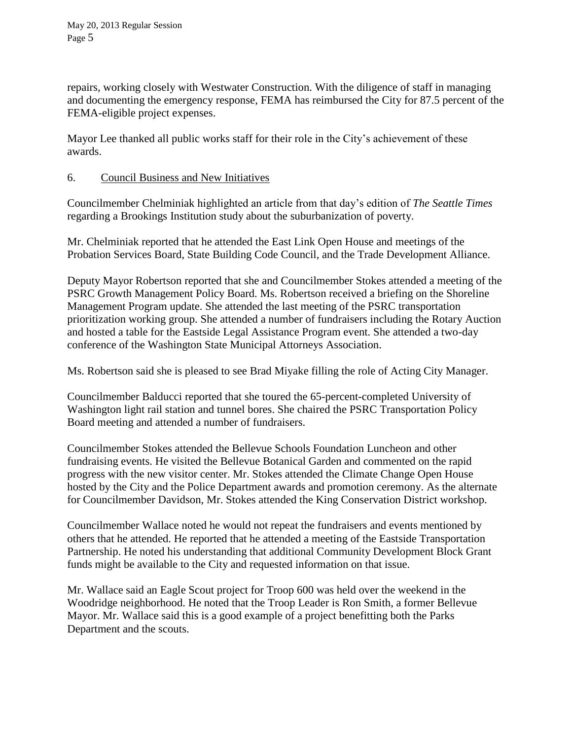repairs, working closely with Westwater Construction. With the diligence of staff in managing and documenting the emergency response, FEMA has reimbursed the City for 87.5 percent of the FEMA-eligible project expenses.

Mayor Lee thanked all public works staff for their role in the City's achievement of these awards.

## 6. Council Business and New Initiatives

Councilmember Chelminiak highlighted an article from that day's edition of *The Seattle Times* regarding a Brookings Institution study about the suburbanization of poverty.

Mr. Chelminiak reported that he attended the East Link Open House and meetings of the Probation Services Board, State Building Code Council, and the Trade Development Alliance.

Deputy Mayor Robertson reported that she and Councilmember Stokes attended a meeting of the PSRC Growth Management Policy Board. Ms. Robertson received a briefing on the Shoreline Management Program update. She attended the last meeting of the PSRC transportation prioritization working group. She attended a number of fundraisers including the Rotary Auction and hosted a table for the Eastside Legal Assistance Program event. She attended a two-day conference of the Washington State Municipal Attorneys Association.

Ms. Robertson said she is pleased to see Brad Miyake filling the role of Acting City Manager.

Councilmember Balducci reported that she toured the 65-percent-completed University of Washington light rail station and tunnel bores. She chaired the PSRC Transportation Policy Board meeting and attended a number of fundraisers.

Councilmember Stokes attended the Bellevue Schools Foundation Luncheon and other fundraising events. He visited the Bellevue Botanical Garden and commented on the rapid progress with the new visitor center. Mr. Stokes attended the Climate Change Open House hosted by the City and the Police Department awards and promotion ceremony. As the alternate for Councilmember Davidson, Mr. Stokes attended the King Conservation District workshop.

Councilmember Wallace noted he would not repeat the fundraisers and events mentioned by others that he attended. He reported that he attended a meeting of the Eastside Transportation Partnership. He noted his understanding that additional Community Development Block Grant funds might be available to the City and requested information on that issue.

Mr. Wallace said an Eagle Scout project for Troop 600 was held over the weekend in the Woodridge neighborhood. He noted that the Troop Leader is Ron Smith, a former Bellevue Mayor. Mr. Wallace said this is a good example of a project benefitting both the Parks Department and the scouts.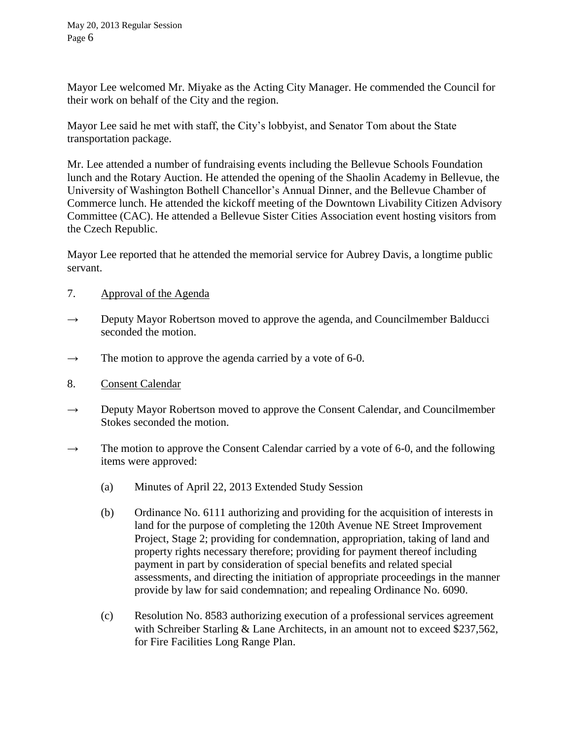Mayor Lee welcomed Mr. Miyake as the Acting City Manager. He commended the Council for their work on behalf of the City and the region.

Mayor Lee said he met with staff, the City's lobbyist, and Senator Tom about the State transportation package.

Mr. Lee attended a number of fundraising events including the Bellevue Schools Foundation lunch and the Rotary Auction. He attended the opening of the Shaolin Academy in Bellevue, the University of Washington Bothell Chancellor's Annual Dinner, and the Bellevue Chamber of Commerce lunch. He attended the kickoff meeting of the Downtown Livability Citizen Advisory Committee (CAC). He attended a Bellevue Sister Cities Association event hosting visitors from the Czech Republic.

Mayor Lee reported that he attended the memorial service for Aubrey Davis, a longtime public servant.

- 7. Approval of the Agenda
- $\rightarrow$  Deputy Mayor Robertson moved to approve the agenda, and Councilmember Balducci seconded the motion.
- $\rightarrow$  The motion to approve the agenda carried by a vote of 6-0.
- 8. Consent Calendar
- $\rightarrow$  Deputy Mayor Robertson moved to approve the Consent Calendar, and Councilmember Stokes seconded the motion.
- $\rightarrow$  The motion to approve the Consent Calendar carried by a vote of 6-0, and the following items were approved:
	- (a) Minutes of April 22, 2013 Extended Study Session
	- (b) Ordinance No. 6111 authorizing and providing for the acquisition of interests in land for the purpose of completing the 120th Avenue NE Street Improvement Project, Stage 2; providing for condemnation, appropriation, taking of land and property rights necessary therefore; providing for payment thereof including payment in part by consideration of special benefits and related special assessments, and directing the initiation of appropriate proceedings in the manner provide by law for said condemnation; and repealing Ordinance No. 6090.
	- (c) Resolution No. 8583 authorizing execution of a professional services agreement with Schreiber Starling & Lane Architects, in an amount not to exceed \$237,562, for Fire Facilities Long Range Plan.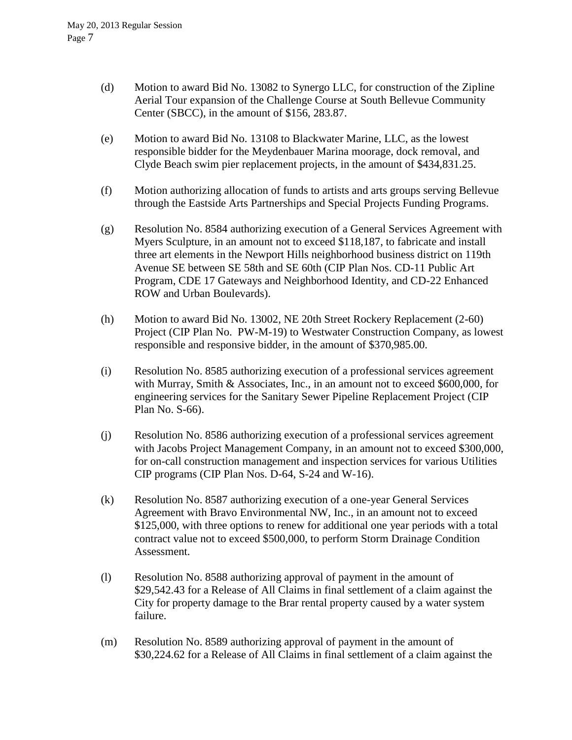- (d) Motion to award Bid No. 13082 to Synergo LLC, for construction of the Zipline Aerial Tour expansion of the Challenge Course at South Bellevue Community Center (SBCC), in the amount of \$156, 283.87.
- (e) Motion to award Bid No. 13108 to Blackwater Marine, LLC, as the lowest responsible bidder for the Meydenbauer Marina moorage, dock removal, and Clyde Beach swim pier replacement projects, in the amount of \$434,831.25.
- (f) Motion authorizing allocation of funds to artists and arts groups serving Bellevue through the Eastside Arts Partnerships and Special Projects Funding Programs.
- (g) Resolution No. 8584 authorizing execution of a General Services Agreement with Myers Sculpture, in an amount not to exceed \$118,187, to fabricate and install three art elements in the Newport Hills neighborhood business district on 119th Avenue SE between SE 58th and SE 60th (CIP Plan Nos. CD-11 Public Art Program, CDE 17 Gateways and Neighborhood Identity, and CD-22 Enhanced ROW and Urban Boulevards).
- (h) Motion to award Bid No. 13002, NE 20th Street Rockery Replacement (2-60) Project (CIP Plan No. PW-M-19) to Westwater Construction Company, as lowest responsible and responsive bidder, in the amount of \$370,985.00.
- (i) Resolution No. 8585 authorizing execution of a professional services agreement with Murray, Smith & Associates, Inc., in an amount not to exceed \$600,000, for engineering services for the Sanitary Sewer Pipeline Replacement Project (CIP Plan No. S-66).
- (j) Resolution No. 8586 authorizing execution of a professional services agreement with Jacobs Project Management Company, in an amount not to exceed \$300,000, for on-call construction management and inspection services for various Utilities CIP programs (CIP Plan Nos. D-64, S-24 and W-16).
- (k) Resolution No. 8587 authorizing execution of a one-year General Services Agreement with Bravo Environmental NW, Inc., in an amount not to exceed \$125,000, with three options to renew for additional one year periods with a total contract value not to exceed \$500,000, to perform Storm Drainage Condition Assessment.
- (l) Resolution No. 8588 authorizing approval of payment in the amount of \$29,542.43 for a Release of All Claims in final settlement of a claim against the City for property damage to the Brar rental property caused by a water system failure.
- (m) Resolution No. 8589 authorizing approval of payment in the amount of \$30,224.62 for a Release of All Claims in final settlement of a claim against the